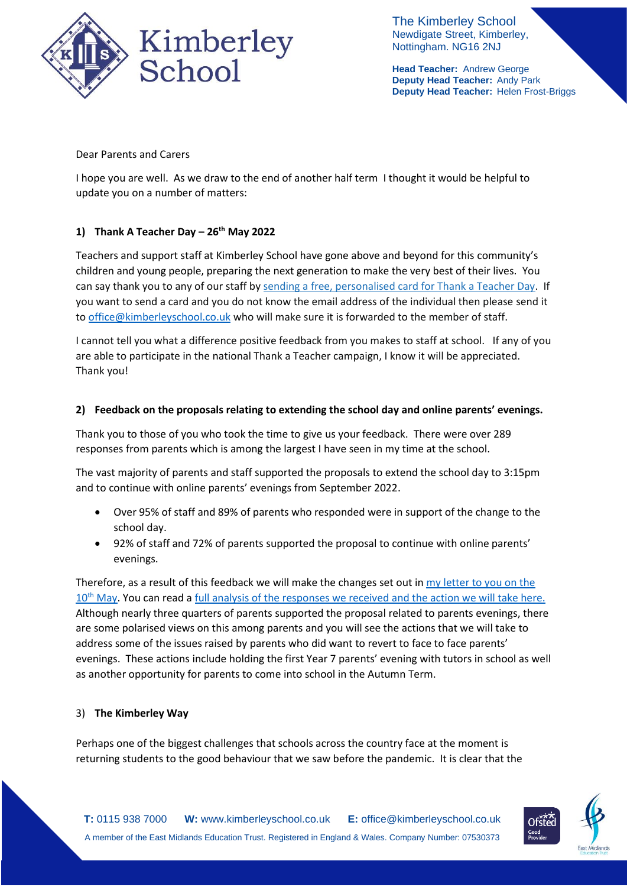

The Kimberley School Newdigate Street, Kimberley, Nottingham. NG16 2NJ

**Head Teacher:** Andrew George **Deputy Head Teacher:** Andy Park **Deputy Head Teacher:** Helen Frost-Briggs

Dear Parents and Carers

I hope you are well. As we draw to the end of another half term I thought it would be helpful to update you on a number of matters:

# **1) Thank A Teacher Day – 26th May 2022**

Teachers and support staff at Kimberley School have gone above and beyond for this community's children and young people, preparing the next generation to make the very best of their lives. You can say thank you to any of our staff by [sending a free, personalised card for Thank a Teacher Day.](https://thankateacher.co.uk/thank-a-teacher/thank-a-teacher-form/?utm_medium=email&utm_source=govdelivery) If you want to send a card and you do not know the email address of the individual then please send it to [office@kimberleyschool.co.uk](mailto:office@kimberleyschool.co.uk) who will make sure it is forwarded to the member of staff.

I cannot tell you what a difference positive feedback from you makes to staff at school. If any of you are able to participate in the national Thank a Teacher campaign, I know it will be appreciated. Thank you!

#### **2) Feedback on the proposals relating to extending the school day and online parents' evenings.**

Thank you to those of you who took the time to give us your feedback. There were over 289 responses from parents which is among the largest I have seen in my time at the school.

The vast majority of parents and staff supported the proposals to extend the school day to 3:15pm and to continue with online parents' evenings from September 2022.

- Over 95% of staff and 89% of parents who responded were in support of the change to the school day.
- 92% of staff and 72% of parents supported the proposal to continue with online parents' evenings.

Therefore, as a result of this feedback we will make the changes set out in [my letter to you on the](https://www.kimberleyschool.co.uk/_files/ugd/b201da_501a5c8fe07941ae83e7281f2a6c0514.pdf)  10<sup>th</sup> [May.](https://www.kimberleyschool.co.uk/_files/ugd/b201da_501a5c8fe07941ae83e7281f2a6c0514.pdf) You can read a full analysis of the responses we received and the action we will take here. Although nearly three quarters of parents supported the proposal related to parents evenings, there are some polarised views on this among parents and you will see the actions that we will take to address some of the issues raised by parents who did want to revert to face to face parents' evenings. These actions include holding the first Year 7 parents' evening with tutors in school as well as another opportunity for parents to come into school in the Autumn Term.

## 3) **The Kimberley Way**

Perhaps one of the biggest challenges that schools across the country face at the moment is returning students to the good behaviour that we saw before the pandemic. It is clear that the

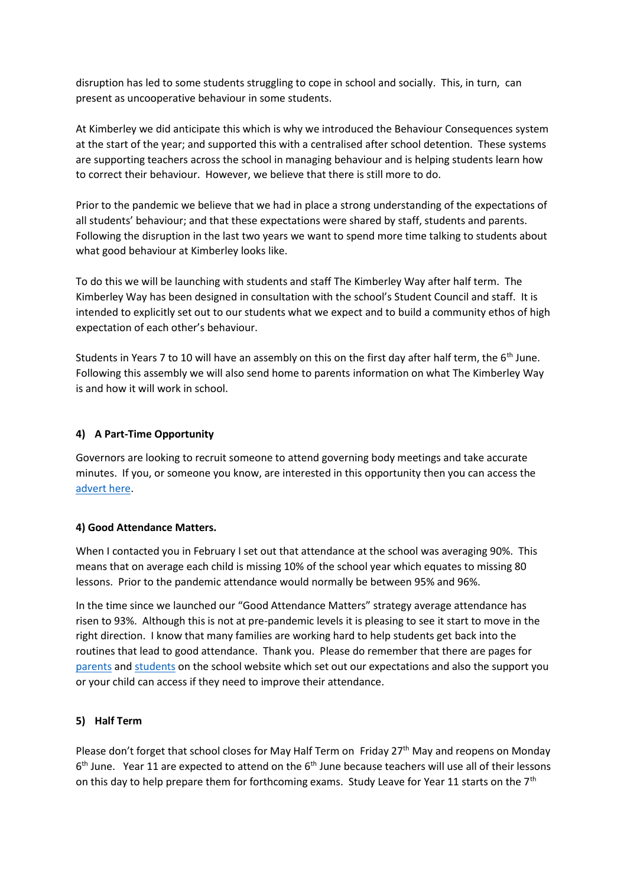disruption has led to some students struggling to cope in school and socially. This, in turn, can present as uncooperative behaviour in some students.

At Kimberley we did anticipate this which is why we introduced the Behaviour Consequences system at the start of the year; and supported this with a centralised after school detention. These systems are supporting teachers across the school in managing behaviour and is helping students learn how to correct their behaviour. However, we believe that there is still more to do.

Prior to the pandemic we believe that we had in place a strong understanding of the expectations of all students' behaviour; and that these expectations were shared by staff, students and parents. Following the disruption in the last two years we want to spend more time talking to students about what good behaviour at Kimberley looks like.

To do this we will be launching with students and staff The Kimberley Way after half term. The Kimberley Way has been designed in consultation with the school's Student Council and staff. It is intended to explicitly set out to our students what we expect and to build a community ethos of high expectation of each other's behaviour.

Students in Years 7 to 10 will have an assembly on this on the first day after half term, the  $6<sup>th</sup>$  June. Following this assembly we will also send home to parents information on what The Kimberley Way is and how it will work in school.

# **4) A Part-Time Opportunity**

Governors are looking to recruit someone to attend governing body meetings and take accurate minutes. If you, or someone you know, are interested in this opportunity then you can access the [advert here.](https://www.emet.academy/vacancies?pid=12&vacancyid=611)

## **4) Good Attendance Matters.**

When I contacted you in February I set out that attendance at the school was averaging 90%. This means that on average each child is missing 10% of the school year which equates to missing 80 lessons. Prior to the pandemic attendance would normally be between 95% and 96%.

In the time since we launched our "Good Attendance Matters" strategy average attendance has risen to 93%. Although this is not at pre-pandemic levels it is pleasing to see it start to move in the right direction. I know that many families are working hard to help students get back into the routines that lead to good attendance. Thank you. Please do remember that there are pages for [parents](https://www.kimberleyschool.co.uk/goodattendancematters-parents) and [students](https://www.kimberleyschool.co.uk/goodattendancematters-students) on the school website which set out our expectations and also the support you or your child can access if they need to improve their attendance.

#### **5) Half Term**

Please don't forget that school closes for May Half Term on Friday 27<sup>th</sup> May and reopens on Monday 6<sup>th</sup> June. Year 11 are expected to attend on the 6<sup>th</sup> June because teachers will use all of their lessons on this day to help prepare them for forthcoming exams. Study Leave for Year 11 starts on the 7<sup>th</sup>